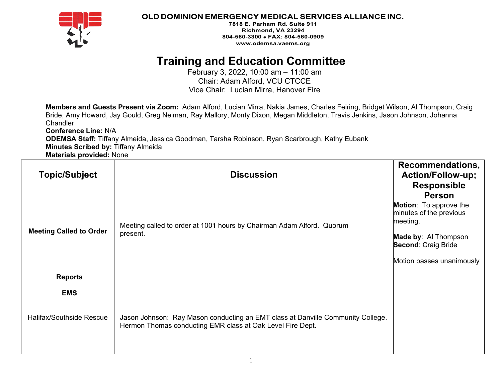

### **OLD DOMINION EMERGENCY MEDICAL SERVICES ALLIANCEINC.**

**7818 E. Parham Rd. Suite 911 Richmond, VA 23294 804-560-3300** • **FAX: 804-560-0909 [www.odemsa.vaems.org](http://www.odemsa.vaems.org/)**

# **Training and Education Committee**

February 3, 2022, 10:00 am – 11:00 am Chair: Adam Alford, VCU CTCCE Vice Chair: Lucian Mirra, Hanover Fire

**Members and Guests Present via Zoom:** Adam Alford, Lucian Mirra, Nakia James, Charles Feiring, Bridget Wilson, Al Thompson, Craig Bride, Amy Howard, Jay Gould, Greg Neiman, Ray Mallory, Monty Dixon, Megan Middleton, Travis Jenkins, Jason Johnson, Johanna **Chandler** 

**Conference Line:** N/A **ODEMSA Staff:** Tiffany Almeida, Jessica Goodman, Tarsha Robinson, Ryan Scarbrough, Kathy Eubank **Minutes Scribed by:** Tiffany Almeida **Materials provided:** None

| <b>Topic/Subject</b>            | <b>Discussion</b>                                                                                                                             | Recommendations,<br><b>Action/Follow-up;</b><br><b>Responsible</b><br><b>Person</b>                                                                     |
|---------------------------------|-----------------------------------------------------------------------------------------------------------------------------------------------|---------------------------------------------------------------------------------------------------------------------------------------------------------|
| <b>Meeting Called to Order</b>  | Meeting called to order at 1001 hours by Chairman Adam Alford. Quorum<br>present.                                                             | Motion: To approve the<br>minutes of the previous<br>meeting.<br><b>Made by: Al Thompson</b><br><b>Second: Craig Bride</b><br>Motion passes unanimously |
| <b>Reports</b>                  |                                                                                                                                               |                                                                                                                                                         |
| <b>EMS</b>                      |                                                                                                                                               |                                                                                                                                                         |
| <b>Halifax/Southside Rescue</b> | Jason Johnson: Ray Mason conducting an EMT class at Danville Community College.<br>Hermon Thomas conducting EMR class at Oak Level Fire Dept. |                                                                                                                                                         |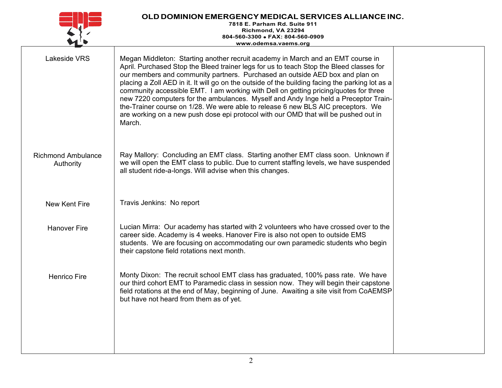| OLD DOMINION EMERGENCY MEDICAL SERVICES ALLIANCE INC.<br>7818 E. Parham Rd. Suite 911<br>Richmond, VA 23294<br>804-560-3300 · FAX: 804-560-0909<br>www.odemsa.vaems.org |                                                                                                                                                                                                                                                                                                                                                                                                                                                                                                                                                                                                                                                                                                                                   |  |
|-------------------------------------------------------------------------------------------------------------------------------------------------------------------------|-----------------------------------------------------------------------------------------------------------------------------------------------------------------------------------------------------------------------------------------------------------------------------------------------------------------------------------------------------------------------------------------------------------------------------------------------------------------------------------------------------------------------------------------------------------------------------------------------------------------------------------------------------------------------------------------------------------------------------------|--|
| <b>Lakeside VRS</b>                                                                                                                                                     | Megan Middleton: Starting another recruit academy in March and an EMT course in<br>April. Purchased Stop the Bleed trainer legs for us to teach Stop the Bleed classes for<br>our members and community partners. Purchased an outside AED box and plan on<br>placing a Zoll AED in it. It will go on the outside of the building facing the parking lot as a<br>community accessible EMT. I am working with Dell on getting pricing/quotes for three<br>new 7220 computers for the ambulances. Myself and Andy Inge held a Preceptor Train-<br>the-Trainer course on 1/28. We were able to release 6 new BLS AIC preceptors. We<br>are working on a new push dose epi protocol with our OMD that will be pushed out in<br>March. |  |
| <b>Richmond Ambulance</b><br>Authority                                                                                                                                  | Ray Mallory: Concluding an EMT class. Starting another EMT class soon. Unknown if<br>we will open the EMT class to public. Due to current staffing levels, we have suspended<br>all student ride-a-longs. Will advise when this changes.                                                                                                                                                                                                                                                                                                                                                                                                                                                                                          |  |
| New Kent Fire                                                                                                                                                           | Travis Jenkins: No report                                                                                                                                                                                                                                                                                                                                                                                                                                                                                                                                                                                                                                                                                                         |  |
| <b>Hanover Fire</b>                                                                                                                                                     | Lucian Mirra: Our academy has started with 2 volunteers who have crossed over to the<br>career side. Academy is 4 weeks. Hanover Fire is also not open to outside EMS<br>students. We are focusing on accommodating our own paramedic students who begin<br>their capstone field rotations next month.                                                                                                                                                                                                                                                                                                                                                                                                                            |  |
| <b>Henrico Fire</b>                                                                                                                                                     | Monty Dixon: The recruit school EMT class has graduated, 100% pass rate. We have<br>our third cohort EMT to Paramedic class in session now. They will begin their capstone<br>field rotations at the end of May, beginning of June. Awaiting a site visit from CoAEMSP<br>but have not heard from them as of yet.                                                                                                                                                                                                                                                                                                                                                                                                                 |  |
|                                                                                                                                                                         |                                                                                                                                                                                                                                                                                                                                                                                                                                                                                                                                                                                                                                                                                                                                   |  |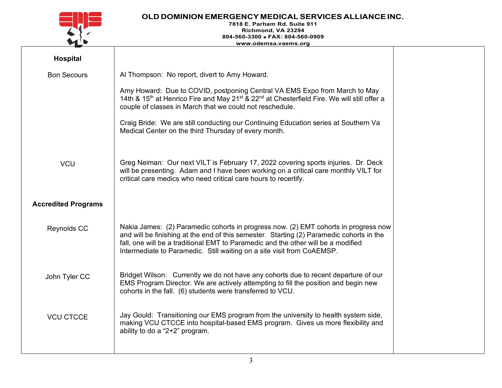

## **OLD DOMINION EMERGENCY MEDICAL SERVICES ALLIANCEINC.**

#### **7818 E. Parham Rd. Suite 911 Richmond, VA 23294 804-560-3300** • **FAX: 804-560-0909 [www.odemsa.vaems.org](http://www.odemsa.vaems.org/)**

| Hospital                   |                                                                                                                                                                                                                                                                                                                                                |
|----------------------------|------------------------------------------------------------------------------------------------------------------------------------------------------------------------------------------------------------------------------------------------------------------------------------------------------------------------------------------------|
| <b>Bon Secours</b>         | Al Thompson: No report, divert to Amy Howard.                                                                                                                                                                                                                                                                                                  |
|                            | Amy Howard: Due to COVID, postponing Central VA EMS Expo from March to May<br>14th & 15 <sup>th</sup> at Henrico Fire and May 21 <sup>st</sup> & 22 <sup>nd</sup> at Chesterfield Fire. We will still offer a<br>couple of classes in March that we could not reschedule.                                                                      |
|                            | Craig Bride: We are still conducting our Continuing Education series at Southern Va<br>Medical Center on the third Thursday of every month.                                                                                                                                                                                                    |
| <b>VCU</b>                 | Greg Neiman: Our next VILT is February 17, 2022 covering sports injuries. Dr. Deck<br>will be presenting. Adam and I have been working on a critical care monthly VILT for<br>critical care medics who need critical care hours to recertify.                                                                                                  |
| <b>Accredited Programs</b> |                                                                                                                                                                                                                                                                                                                                                |
| Reynolds CC                | Nakia James: (2) Paramedic cohorts in progress now. (2) EMT cohorts in progress now<br>and will be finishing at the end of this semester. Starting (2) Paramedic cohorts in the<br>fall, one will be a traditional EMT to Paramedic and the other will be a modified<br>Intermediate to Paramedic. Still waiting on a site visit from CoAEMSP. |
| John Tyler CC              | Bridget Wilson: Currently we do not have any cohorts due to recent departure of our<br>EMS Program Director. We are actively attempting to fill the position and begin new<br>cohorts in the fall. (6) students were transferred to VCU.                                                                                                       |
| <b>VCU CTCCE</b>           | Jay Gould: Transitioning our EMS program from the university to health system side,<br>making VCU CTCCE into hospital-based EMS program. Gives us more flexibility and<br>ability to do a " $2+2$ " program.                                                                                                                                   |
|                            |                                                                                                                                                                                                                                                                                                                                                |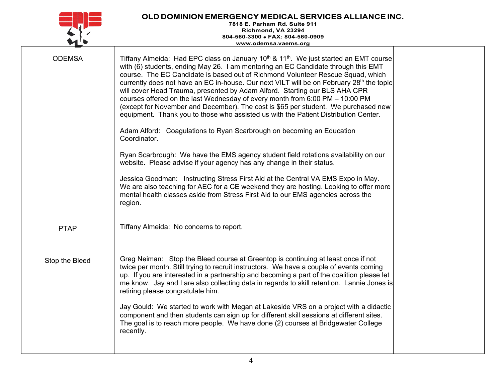#### **OLD DOMINION EMERGENCY MEDICAL SERVICES ALLIANCEINC. 7818 E. Parham Rd. Suite 911 Richmond, VA 23294 804-560-3300** • **FAX: 804-560-0909 [www.odemsa.vaems.org](http://www.odemsa.vaems.org/)**

| with (6) students, ending May 26. I am mentoring an EC Candidate through this EMT<br>course. The EC Candidate is based out of Richmond Volunteer Rescue Squad, which<br>will cover Head Trauma, presented by Adam Alford. Starting our BLS AHA CPR<br>courses offered on the last Wednesday of every month from 6:00 PM - 10:00 PM<br>(except for November and December). The cost is \$65 per student. We purchased new<br>equipment. Thank you to those who assisted us with the Patient Distribution Center.<br>Adam Alford: Coagulations to Ryan Scarbrough on becoming an Education<br>Coordinator.<br>Ryan Scarbrough: We have the EMS agency student field rotations availability on our<br>website. Please advise if your agency has any change in their status.<br>Jessica Goodman: Instructing Stress First Aid at the Central VA EMS Expo in May. |                                                                                                                                                                                                                                                                                                                     |
|--------------------------------------------------------------------------------------------------------------------------------------------------------------------------------------------------------------------------------------------------------------------------------------------------------------------------------------------------------------------------------------------------------------------------------------------------------------------------------------------------------------------------------------------------------------------------------------------------------------------------------------------------------------------------------------------------------------------------------------------------------------------------------------------------------------------------------------------------------------|---------------------------------------------------------------------------------------------------------------------------------------------------------------------------------------------------------------------------------------------------------------------------------------------------------------------|
| We are also teaching for AEC for a CE weekend they are hosting. Looking to offer more<br>mental health classes aside from Stress First Aid to our EMS agencies across the<br>region.<br>Tiffany Almeida: No concerns to report.                                                                                                                                                                                                                                                                                                                                                                                                                                                                                                                                                                                                                              |                                                                                                                                                                                                                                                                                                                     |
|                                                                                                                                                                                                                                                                                                                                                                                                                                                                                                                                                                                                                                                                                                                                                                                                                                                              |                                                                                                                                                                                                                                                                                                                     |
| Greg Neiman: Stop the Bleed course at Greentop is continuing at least once if not<br>twice per month. Still trying to recruit instructors. We have a couple of events coming<br>up. If you are interested in a partnership and becoming a part of the coalition please let<br>retiring please congratulate him.                                                                                                                                                                                                                                                                                                                                                                                                                                                                                                                                              |                                                                                                                                                                                                                                                                                                                     |
| Jay Gould: We started to work with Megan at Lakeside VRS on a project with a didactic<br>component and then students can sign up for different skill sessions at different sites.<br>The goal is to reach more people. We have done (2) courses at Bridgewater College<br>recently.                                                                                                                                                                                                                                                                                                                                                                                                                                                                                                                                                                          |                                                                                                                                                                                                                                                                                                                     |
|                                                                                                                                                                                                                                                                                                                                                                                                                                                                                                                                                                                                                                                                                                                                                                                                                                                              | Tiffany Almeida: Had EPC class on January 10 <sup>th</sup> & 11 <sup>th</sup> . We just started an EMT course<br>currently does not have an EC in-house. Our next VILT will be on February 28 <sup>th</sup> the topic<br>me know. Jay and I are also collecting data in regards to skill retention. Lannie Jones is |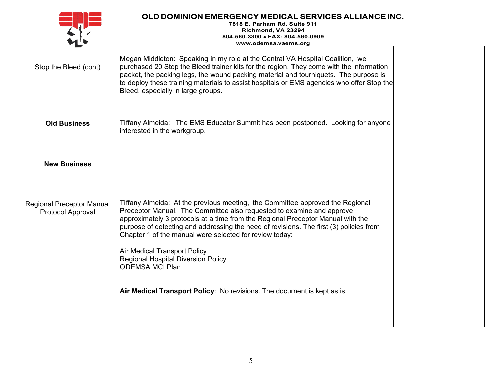|                                                       | OLD DOMINION EMERGENCY MEDICAL SERVICES ALLIANCE INC.<br>7818 E. Parham Rd. Suite 911<br>Richmond, VA 23294<br>804-560-3300 • FAX: 804-560-0909<br>www.odemsa.vaems.org                                                                                                                                                                                                                                                                                                                               |  |
|-------------------------------------------------------|-------------------------------------------------------------------------------------------------------------------------------------------------------------------------------------------------------------------------------------------------------------------------------------------------------------------------------------------------------------------------------------------------------------------------------------------------------------------------------------------------------|--|
| Stop the Bleed (cont)                                 | Megan Middleton: Speaking in my role at the Central VA Hospital Coalition, we<br>purchased 20 Stop the Bleed trainer kits for the region. They come with the information<br>packet, the packing legs, the wound packing material and tourniquets. The purpose is<br>to deploy these training materials to assist hospitals or EMS agencies who offer Stop the<br>Bleed, especially in large groups.                                                                                                   |  |
| <b>Old Business</b>                                   | Tiffany Almeida: The EMS Educator Summit has been postponed. Looking for anyone<br>interested in the workgroup.                                                                                                                                                                                                                                                                                                                                                                                       |  |
| <b>New Business</b>                                   |                                                                                                                                                                                                                                                                                                                                                                                                                                                                                                       |  |
| <b>Regional Preceptor Manual</b><br>Protocol Approval | Tiffany Almeida: At the previous meeting, the Committee approved the Regional<br>Preceptor Manual. The Committee also requested to examine and approve<br>approximately 3 protocols at a time from the Regional Preceptor Manual with the<br>purpose of detecting and addressing the need of revisions. The first (3) policies from<br>Chapter 1 of the manual were selected for review today:<br>Air Medical Transport Policy<br><b>Regional Hospital Diversion Policy</b><br><b>ODEMSA MCI Plan</b> |  |
|                                                       | Air Medical Transport Policy: No revisions. The document is kept as is.                                                                                                                                                                                                                                                                                                                                                                                                                               |  |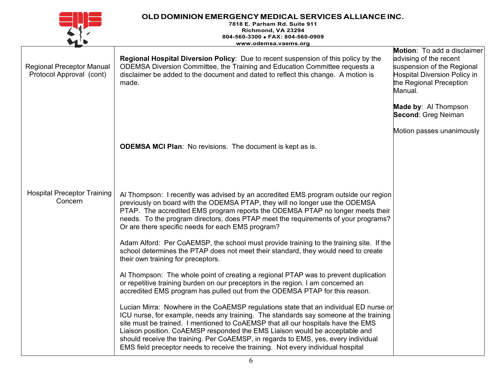|                                                              | OLD DOMINION EMERGENCY MEDICAL SERVICES ALLIANCE INC.<br>7818 E. Parham Rd. Suite 911<br>Richmond, VA 23294<br>804-560-3300 • FAX: 804-560-0909                                                                                                                                                                                                                                                                                                                                                                             |                                                                                                                                                                  |
|--------------------------------------------------------------|-----------------------------------------------------------------------------------------------------------------------------------------------------------------------------------------------------------------------------------------------------------------------------------------------------------------------------------------------------------------------------------------------------------------------------------------------------------------------------------------------------------------------------|------------------------------------------------------------------------------------------------------------------------------------------------------------------|
|                                                              | www.odemsa.vaems.org                                                                                                                                                                                                                                                                                                                                                                                                                                                                                                        |                                                                                                                                                                  |
| <b>Regional Preceptor Manual</b><br>Protocol Approval (cont) | <b>Regional Hospital Diversion Policy:</b> Due to recent suspension of this policy by the<br>ODEMSA Diversion Committee, the Training and Education Committee requests a<br>disclaimer be added to the document and dated to reflect this change. A motion is<br>made.                                                                                                                                                                                                                                                      | <b>Motion:</b> To add a disclaimer<br>advising of the recent<br>suspension of the Regional<br>Hospital Diversion Policy in<br>the Regional Preception<br>Manual. |
|                                                              |                                                                                                                                                                                                                                                                                                                                                                                                                                                                                                                             | <b>Made by: Al Thompson</b><br><b>Second: Greg Neiman</b>                                                                                                        |
|                                                              |                                                                                                                                                                                                                                                                                                                                                                                                                                                                                                                             | Motion passes unanimously                                                                                                                                        |
|                                                              | <b>ODEMSA MCI Plan:</b> No revisions. The document is kept as is.                                                                                                                                                                                                                                                                                                                                                                                                                                                           |                                                                                                                                                                  |
| <b>Hospital Preceptor Training</b><br>Concern                | Al Thompson: I recently was advised by an accredited EMS program outside our region<br>previously on board with the ODEMSA PTAP, they will no longer use the ODEMSA<br>PTAP. The accredited EMS program reports the ODEMSA PTAP no longer meets their<br>needs. To the program directors, does PTAP meet the requirements of your programs?<br>Or are there specific needs for each EMS program?                                                                                                                            |                                                                                                                                                                  |
|                                                              | Adam Alford: Per CoAEMSP, the school must provide training to the training site. If the<br>school determines the PTAP does not meet their standard, they would need to create<br>their own training for preceptors.                                                                                                                                                                                                                                                                                                         |                                                                                                                                                                  |
|                                                              | Al Thompson: The whole point of creating a regional PTAP was to prevent duplication<br>or repetitive training burden on our preceptors in the region. I am concerned an<br>accredited EMS program has pulled out from the ODEMSA PTAP for this reason.                                                                                                                                                                                                                                                                      |                                                                                                                                                                  |
|                                                              | Lucian Mirra: Nowhere in the CoAEMSP regulations state that an individual ED nurse or<br>ICU nurse, for example, needs any training. The standards say someone at the training<br>site must be trained. I mentioned to CoAEMSP that all our hospitals have the EMS<br>Liaison position. CoAEMSP responded the EMS Liaison would be acceptable and<br>should receive the training. Per CoAEMSP, in regards to EMS, yes, every individual<br>EMS field preceptor needs to receive the training. Not every individual hospital |                                                                                                                                                                  |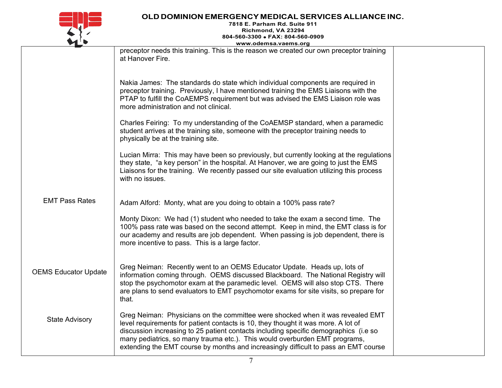

## **OLD DOMINION EMERGENCY MEDICAL SERVICES ALLIANCEINC.**

**7818 E. Parham Rd. Suite 911 Richmond, VA 23294 804-560-3300** • **FAX: 804-560-0909 [www.odemsa.vaems.org](http://www.odemsa.vaems.org/)**

|                             | www.odemsa.vaems.org                                                                                                                                                                                                                                                                                                                                                                                                             |  |
|-----------------------------|----------------------------------------------------------------------------------------------------------------------------------------------------------------------------------------------------------------------------------------------------------------------------------------------------------------------------------------------------------------------------------------------------------------------------------|--|
|                             | preceptor needs this training. This is the reason we created our own preceptor training<br>at Hanover Fire.                                                                                                                                                                                                                                                                                                                      |  |
|                             | Nakia James: The standards do state which individual components are required in<br>preceptor training. Previously, I have mentioned training the EMS Liaisons with the<br>PTAP to fulfill the CoAEMPS requirement but was advised the EMS Liaison role was<br>more administration and not clinical.                                                                                                                              |  |
|                             | Charles Feiring: To my understanding of the CoAEMSP standard, when a paramedic<br>student arrives at the training site, someone with the preceptor training needs to<br>physically be at the training site.                                                                                                                                                                                                                      |  |
|                             | Lucian Mirra: This may have been so previously, but currently looking at the regulations<br>they state, "a key person" in the hospital. At Hanover, we are going to just the EMS<br>Liaisons for the training. We recently passed our site evaluation utilizing this process<br>with no issues.                                                                                                                                  |  |
| <b>EMT Pass Rates</b>       | Adam Alford: Monty, what are you doing to obtain a 100% pass rate?                                                                                                                                                                                                                                                                                                                                                               |  |
|                             | Monty Dixon: We had (1) student who needed to take the exam a second time. The<br>100% pass rate was based on the second attempt. Keep in mind, the EMT class is for<br>our academy and results are job dependent. When passing is job dependent, there is<br>more incentive to pass. This is a large factor.                                                                                                                    |  |
| <b>OEMS Educator Update</b> | Greg Neiman: Recently went to an OEMS Educator Update. Heads up, lots of<br>information coming through. OEMS discussed Blackboard. The National Registry will<br>stop the psychomotor exam at the paramedic level. OEMS will also stop CTS. There<br>are plans to send evaluators to EMT psychomotor exams for site visits, so prepare for<br>that.                                                                              |  |
| <b>State Advisory</b>       | Greg Neiman: Physicians on the committee were shocked when it was revealed EMT<br>level requirements for patient contacts is 10, they thought it was more. A lot of<br>discussion increasing to 25 patient contacts including specific demographics (i.e so<br>many pediatrics, so many trauma etc.). This would overburden EMT programs,<br>extending the EMT course by months and increasingly difficult to pass an EMT course |  |